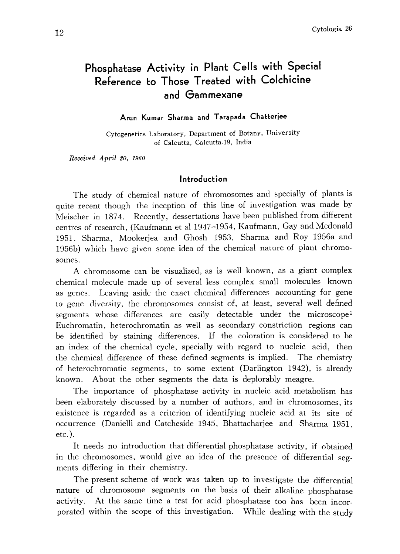# Phosphatase Activity in Plant Cells with Special Reference to Those Treated with Colchicine and Gammexane

# Arun Kumar Sharma and Tarapada Chatterjee

Cytogenetics Laboratory, Department of Botany, University of Calcutta, Calcutta-19, India

Received April 30, 1960

#### Introduction

The study of chemical nature of chromosomes and specially of plants is quite recent though the inception of this line of investigation was made by Meischer in 1874. Recently, dessertations have been published from different centres of research, (Kaufmann et al 1947-1954, Kaufmann, Gay and Mcdonald 1951, Sharma, Mookerjea and Ghosh 1953, Sharma and Roy 1956a and 1956b) which have given some idea of the chemical nature of plant chromo somes.

A chromosome can be visualized, as is well known, as a giant complex chemical molecule made up of several less complex small molecules known as genes. Leaving aside the exact chemical differences accounting for gene to gene diversity, the chromosomes consist of, at least, several well defined segments whose differences are easily detectable under the microscope Euchromatin, heterochromatin as well as secondary constriction regions can be identified by staining differences. If the coloration is considered to be an index of the chemical cycle, specially with regard to nucleic acid, then the chemical difference of these defined segments is implied. The chemistry of heterochromatic segments, to some extent (Darlington 1942), is already known. About the other segments the data is deplorably meagre.

The importance of phosphatase activity in nucleic acid metabolism has been elaborately discussed by a number of authors, and in chromosomes, its existence is regarded as a criterion of identifying nucleic acid at its site of occurrence (Danielli and Catcheside 1945, Bhattacharjee and Sharma 1951, etc.).

It needs no introduction that differential phosphatase activity, if obtained in the chromosomes, would give an idea of the presence of differential seg ments differing in their chemistry.

The present scheme of work was taken up to investigate the differential nature of chromosome segments on the basis of their alkaline phosphatase activity. At the same time a test for acid phosphatase too has been incor porated within the scope of this investigation. While dealing with the study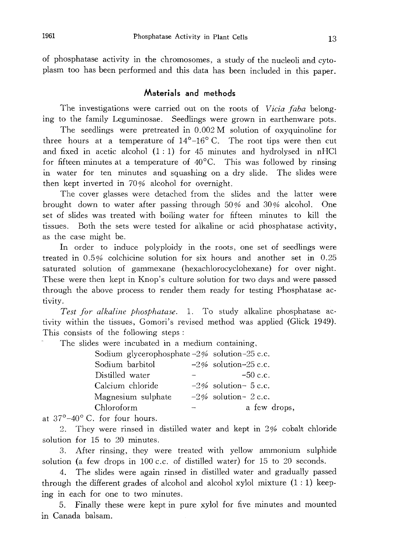of phosphatase activity in the chromosomes, a study of the nucleoli and cyto plasm too has been performed and this data has been included in this paper.

## Materials and methods

The investigations were carried out on the roots of Vicia faba belonging to the family Leguminosae. Seedlings were grown in earthenware pots.

The seedlings were pretreated in 0.002 M solution of oxyquinoline for three hours at a temperature of  $14^{\circ}-16^{\circ}$  C. The root tips were then cut and fixed in acetic alcohol  $(1:1)$  for 45 minutes and hydrolysed in nHCl for fifteen minutes at a temperature of  $40^{\circ}$ C. This was followed by rinsing in water for ten minutes and squashing on a dry slide. The slides were then kept inverted in 70% alcohol for overnight.

The cover glasses were detached from the slides and the latter were brought down to water after passing through 50% and 30% alcohol. One set of slides was treated with boiling water for fifteen minutes to kill the tissues. Both the sets were tested for alkaline or acid phosphatase activity, as the case might be.

In order to induce polyploidy in the roots, one set of seedlings were treated in 0.5% colchicine solution for six hours and another set in 0.25 saturated solution of gammexane (hexachlorocyclohexane) for over night. These were then kept in Knop's culture solution for two days and were passed through the above process to render them ready for testing Phosphatase ac tivity.

Test for alkaline phosphatase. 1. To study alkaline phosphatase ac tivity within the tissues, Gomori's revised method was applied (Glick 1949). This consists of the following steps:

The slides were incubated in a medium containing,

| Sodium glycerophosphate $-2\%$ solution-25 c.c. |                         |
|-------------------------------------------------|-------------------------|
| Sodium barbitol                                 | $-2\%$ solution-25 c.c. |
| Distilled water                                 | $-50$ c.c.              |
| Calcium chloride                                | $-2\%$ solution- 5 c.c. |
| Magnesium sulphate                              | $-2\%$ solution- 2 c.c. |
| Chloroform                                      | a few drops,            |

at  $37^{\circ}-40^{\circ}$  C. for four hours.

2. They were rinsed in distilled water and kept in 2% cobalt chloride solution for 15 to 20 minutes.

3. After rinsing, they were treated with yellow ammonium sulphide solution (a few drops in 100 c.c. of distilled water) for 15 to 20 seconds.

4. The slides were again rinsed in distilled water and gradually passed through the different grades of alcohol and alcohol xylol mixture  $(1:1)$  keeping in each for one to two minutes.

5. Finally these were kept in pure xylol for five minutes and mounted in Canada balsam.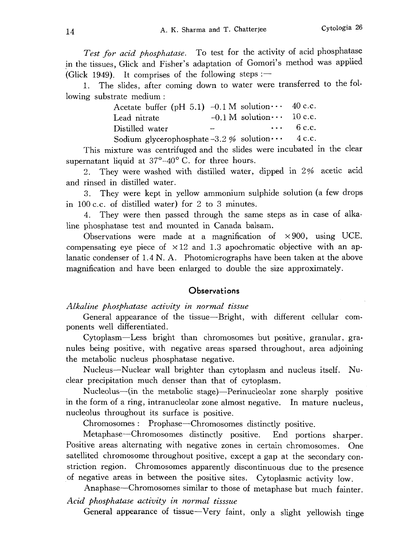Test for acid phosphatase. To test for the activity of acid phosphatase in the tissues, Glick and Fisher's adaptation of Gomori's method was applied (Glick 1949). It comprises of the following steps: $-$ 

1. The slides, after coming down to water were transferred to the fol lowing substrate medium:

| Acetate buffer (pH 5.1) -0.1 M solution $\cdots$ 40 c.c. |                                    |                 |
|----------------------------------------------------------|------------------------------------|-----------------|
| Lead nitrate                                             | $-0.1$ M solution $\cdots$ 10 c.c. |                 |
| Distilled water                                          |                                    | $\cdots$ 6 c.c. |
| Sodium glycerophosphate -3.2 % solution $\cdots$ 4 c.c.  |                                    |                 |

This mixture was centrifuged and the slides were incubated in the clear supernatant liquid at  $37^{\circ}$ -40°C. for three hours.

They were washed with distilled water, dipped in 2% acetic acid and rinsed in distilled water.

3. They were kept in yellow ammonium sulphide solution (a few drops in 100 c.c. of distilled water) for 2 to 3 minutes.

4. They were then passed through the same steps as in case of alka line phosphatase test and mounted in Canada balsam.

Observations were made at a magnification of  $\times 900$ , using UCE. compensating eye piece of  $\times 12$  and 1.3 apochromatic objective with an aplanatic condenser of 1.4N. A. Photomicrographs have been taken at the above magnification and have been enlarged to double the size approximately.

# **Observations**

Alkaline phosphatase activity in normal tissue

General appearance of the tissue-Bright, with different cellular com ponents well differentiated.

Cytoplasm-Less bright than chromosomes but positive, granular, gra nules being positive, with negative areas sparred throughout, area adjoining the metabolic nucleus phosphatase negative.

Nucleus-Nuclear wall brighter than cytoplasm and nucleus itself. Nu clear precipitation much denser than that of cytoplasm.

Nucleolus--(in the metabolic stage)--Perinucleolar zone sharply positive in the form of a ring, intranucleolar zone almost negative. In mature nucleus, nucleolus throughout its surface is positive.

Chromosomes: Prophase-Chromosomes distinctly positive.

Metaphase-Chromosomes distinctly positive. End portions sharper. Positive areas alternating with negative zones in certain chromosomes. One satellited chromosome throughout positive, except a gap at the secondary con striction region. Chromosomes apparently discontinuous due to the presence of negative areas in between the positive sites. Cytoplasmic activity low .

Anaphase-Chromosomes similar to those of metaphase but much fainter.

Acid phosphatase activity in normal tisssue

General appearance of tissue-Very faint, only a slight yellowish tinge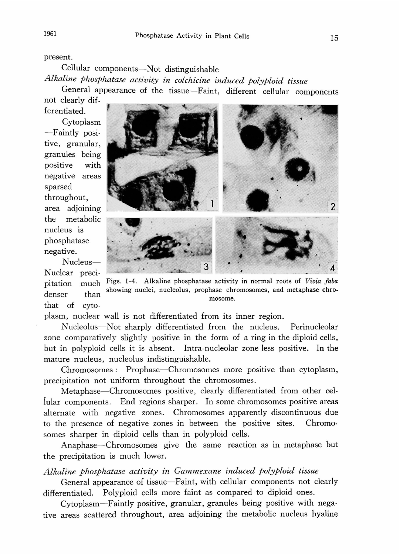present.

Cellular components-Not distinguishable

Alkaline phosphatase activity in colchicine induced polyploid tissue

General appearance of the tissue—Faint, different cellular compone not clearly dif

ferentiated. Cytoplasm -Faintly posi tive, granular, granules being positive with negative areas sparsed throughout, area adjoining the metabolic nucleus is phosphatase negative.



Nucleus Nuclear precipitation much denser than that of cyto

Figs. 1-4. Alkaline phosphatase activity in normal roots of Vicia faba showing nuclei, nucleolus, prophase chromosomes, and metaphase chro mosome.

plasm, nuclear wall is not differentiated from its inner region.

Nucleolus-Not sharply differentiated from the nucleus. Perinucleolar zone comparatively slightly positive in the form of a ring in the diploid cells, but in polyploid cells it is absent. Intra-nucleolar zone less positive. In the mature nucleus, nucleolus indistinguishable.

Chromosomes: Prophase-Chromosomes more positive than cytoplasm, precipitation not uniform throughout the chromosomes.

Metaphase-Chromosomes positive, clearly differentiated from other cellular components. End regions sharper. In some chromosomes positive areas alternate with negative zones. Chromosomes apparently discontinuous due to the presence of negative zones in between the positive sites. Chromo somes sharper in diploid cells than in polyploid cells.

Anaphase-Chromosomes give the same reaction as in metaphase but the precipitation is much lower.

Alkaline phosphatase activity in Gammexane induced polyploid tissue

General appearance of tissue-Faint, with cellular components not clearly differentiated. Polyploid cells more faint as compared to diploid ones.

Cytoplasm-Faintly positive, granular, granules being positive with nega tive areas scattered throughout, area adjoining the metabolic nucleus hyaline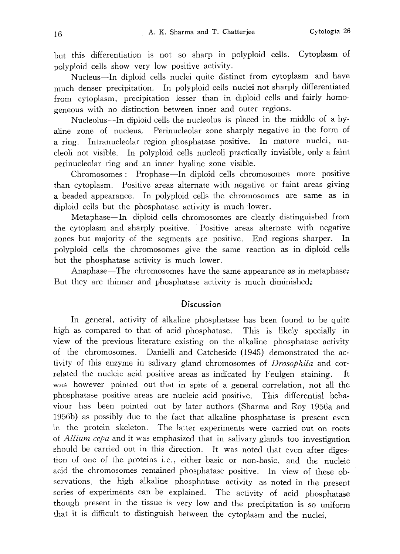but this differentiation is not so sharp in polyploid cells. Cytoplasm of polyploid cells show very low positive activity.

Nucleus-In diploid cells nuclei quite distinct from cytoplasm and have much denser precipitation. In polyploid cells nuclei not sharply differentiated from cytoplasm, precipitation lesser than in diploid cells and fairly homo geneous with no distinction between inner and outer regions.

Nucleolus-In diploid cells the nucleolus is placed in the middle of a hy aline zone of nucleus. Perinucleolar zone sharply negative in the form of a ring. Intranucleolar region phosphatase positive. In mature nuclei, nu cleoli not visible. In polyploid cells nucleoli practically invisible, only a faint perinucleolar ring and an inner hyaline zone visible.

Chromosomes: Prophase-In diploid cells chromosomes more positive than cytoplasm. Positive areas alternate with negative or faint areas giving a beaded appearance. In polyploid cells the chromosomes are same as in diploid cells but the phosphatase activity is much lower.

Metaphase-In diploid cells chromosomes are clearly distinguished from the cytoplasm and sharply positive. Positive areas alternate with negative zones but majority of the segments are positive. End regions sharper. In polyploid cells the chromosomes give the same reaction as in diploid cells but the phosphatase activity is much lower.

Anaphase-The chromosomes have the same appearance as in metaphase, But they are thinner and phosphatase activity is much diminished.

#### **Discussion**

In general, activity of alkaline phosphatase has been found to be quite high as compared to that of acid phosphatase. This is likely specially in view of the previous literature existing on the alkaline phosphatase activity of the chromosomes. Danielli and Catcheside (1945) demonstrated the ac tivity of this enzyme in salivary gland chromosomes of *Drosophila* and correlated the nucleic acid positive areas as indicated by Feulgen staining. It was however pointed out that in spite of a general correlation, not all the phosphatase positive areas are nucleic acid positive. This differential beha viour has been pointed out by later authors (Sharma and Roy 1956a and 1956b) as possibly due to the fact that alkaline phosphatase is present even in the protein skeleton. The latter experiments were carried out on roots of *Allium cepa* and it was emphasized that in salivary glands too investigation should be carried out in this direction. It was noted that even after diges tion of one of the proteins i.e., either basic or non-basic, and the nucleic acid the chromosomes remained phosphatase positive. In view of these ob servations, the high alkaline phosphatase activity as noted in the present series of experiments can be explained. The activity of acid phosphatase though present in the tissue is very low and the precipitation is so uniform that it is difficult to distinguish between the cytoplasm and the nuclei.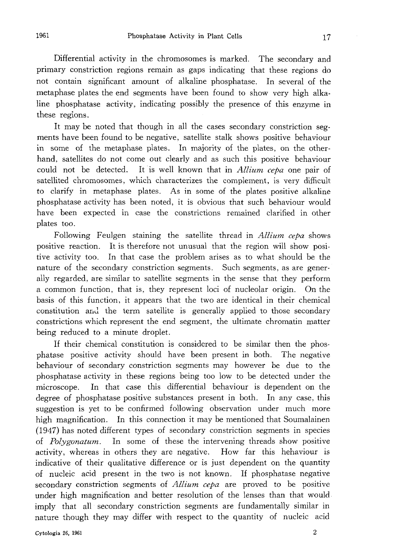Differential activity in the chromosomes is marked. The secondary and primary constriction regions remain as gaps indicating that these regions do not contain significant amount of alkaline phosphatase. In several of the metaphase plates the end segments have been found to show very high alka line phosphatase activity, indicating possibly the presence of this enzyme in these regions.

It may be noted that though in all the cases secondary constriction seg ments have been found to be negative, satellite stalk shows positive behaviour in some of the metaphase plates. In majority of the plates, on the other hand, satellites do not come out clearly and as such this positive behaviour could not be detected. It is well known that in Allium cepa one pair of satellited chromosomes, which characterizes the complement, is very difficult to clarify in metaphase plates. As in some of the plates positive alkaline phosphatase activity has been noted, it is obvious that such behaviour would have been expected in case the constrictions remained clarified in other plates too.

Following Feulgen staining the satellite thread in *Allium cepa* shows positive reaction. It is therefore not unusual that the region will show posi tive activity too. In that case the problem arises as to what should be the nature of the secondary constriction segments. Such segments, as are gener ally regarded, are similar to satellite segments in the sense that they perform a common function, that is, they represent loci of nucleolar origin. On the basis of this function, it appears that the two are identical in their chemical constitution and the term satellite is generally applied to those secondary constrictions which represent the end segment, the ultimate chromatin matter being reduced to a minute droplet.

If their chemical constitution is considered to be similar then the phos phatase positive activity should have been present in both. The negative behaviour of secondary constriction segments may however be due to the phosphatase activity in these regions being too low to be detected under the microscope. In that case this differential behaviour is dependent on the degree of phosphatase positive substances present in both. In any case, this suggestion is yet to be confirmed following observation under much more high magnification. In this connection it may be mentioned that Soumalainen (1947) has noted different types of secondary constriction segments in species of Polygonatum. In some of these the intervening threads show positive activity, whereas in others they are negative. How far this behaviour is indicative of their qualitative difference or is just dependent on the quantity of nucleic acid present in the two is not known. If phosphatase negative secondary constriction segments of Allium cepa are proved to be positive under high magnification and better resolution of the lenses than that would imply that all secondary constriction segments are fundamentally similar in nature though they may differ with respect to the quantity of nucleic acid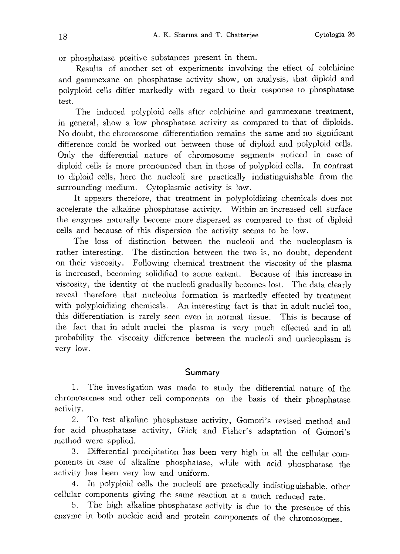or phosphatase positive substances present in them.

Results of another set of experiments involving the effect of colchicine and gammexane on phosphatase activity show, on analysis, that diploid and polyploid cells differ markedly with regard to their response to phosphatase test.

The induced polyploid cells after colchicine and gammexane treatment, in general, show a low phosphatase activity as compared to that of diploids. No doubt, the chromosome differentiation remains the same and no significant difference could be worked out between those of diploid and polyploid cells. Only the differential nature of chromosome segments noticed in case of diploid cells is more pronounced than in those of polyploid cells. In contrast to diploid cells, here the nucleoli are practically indistinguishable from the surrounding medium. Cytoplasmic activity is low.

It appears therefore, that treatment in polyploidizing chemicals does not accelerate the alkaline phosphatase activity. Within an increased cell surface the enzymes naturally become more dispersed as compared to that of diploid cells and because of this dispersion the activity seems to be low.

The loss of distinction between the nucleoli and the nucleoplasm is rather interesting. The distinction between the two is, no doubt, dependent on their viscosity. Following chemical treatment the viscosity of the plasma is increased, becoming solidified to some extent. Because of this increase in viscosity, the identity of the nucleoli gradually becomes lost. The data clearly reveal therefore that nucleolus formation is markedly effected by treatment with polyploidizing chemicals. An interesting fact is that in adult nuclei too, this differentiation is rarely seen even in normal tissue. This is because of the fact that in adult nuclei the plasma is very much effected and in all probability the viscosity difference between the nucleoli and nucleoplasm is very low.

## Summary

1. The investigation was made to study the differential nature of the chromosomes and other cell components on the basis of their phosphatase activity.

2. To test alkaline phosphatase activity, Gomori's revised method and for acid phosphatase activity, Glick and Fisher's adaptation of Gomori's method were applied.

3. Differential precipitation has been very high in all the cellular com ponents in case of alkaline phosphatase, while with acid phosphatase the activity has been very low and uniform.

4. In polyploid cells the nucleoli are practically indistinguishable , other cellular components giving the same reaction at a much reduced rate .

5. The high alkaline phosphatase activity is due to the presence of this enzyme in both nucleic acid and protein components of the chromosomes .